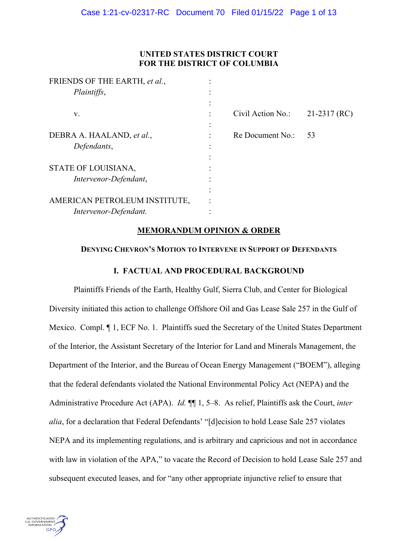# **UNITED STATES DISTRICT COURT FOR THE DISTRICT OF COLUMBIA**

| FRIENDS OF THE EARTH, et al., |   |                   |                |
|-------------------------------|---|-------------------|----------------|
| Plaintiffs,                   |   |                   |                |
|                               |   |                   |                |
| V.                            |   | Civil Action No.: | $21-2317$ (RC) |
|                               |   |                   |                |
| DEBRA A. HAALAND, et al.,     | ٠ | Re Document No.:  | 53             |
| Defendants,                   |   |                   |                |
|                               |   |                   |                |
| STATE OF LOUISIANA,           |   |                   |                |
| Intervenor-Defendant,         |   |                   |                |
|                               |   |                   |                |
| AMERICAN PETROLEUM INSTITUTE, |   |                   |                |
| Intervenor-Defendant.         |   |                   |                |
|                               |   |                   |                |

# **MEMORANDUM OPINION & ORDER**

# **DENYING CHEVRON'S MOTION TO INTERVENE IN SUPPORT OF DEFENDANTS**

# **I. FACTUAL AND PROCEDURAL BACKGROUND**

Plaintiffs Friends of the Earth, Healthy Gulf, Sierra Club, and Center for Biological Diversity initiated this action to challenge Offshore Oil and Gas Lease Sale 257 in the Gulf of Mexico. Compl. ¶ 1, ECF No. 1. Plaintiffs sued the Secretary of the United States Department of the Interior, the Assistant Secretary of the Interior for Land and Minerals Management, the Department of the Interior, and the Bureau of Ocean Energy Management ("BOEM"), alleging that the federal defendants violated the National Environmental Policy Act (NEPA) and the Administrative Procedure Act (APA). *Id.* ¶¶ 1, 5–8. As relief, Plaintiffs ask the Court, *inter alia*, for a declaration that Federal Defendants' "[d]ecision to hold Lease Sale 257 violates NEPA and its implementing regulations, and is arbitrary and capricious and not in accordance with law in violation of the APA," to vacate the Record of Decision to hold Lease Sale 257 and subsequent executed leases, and for "any other appropriate injunctive relief to ensure that

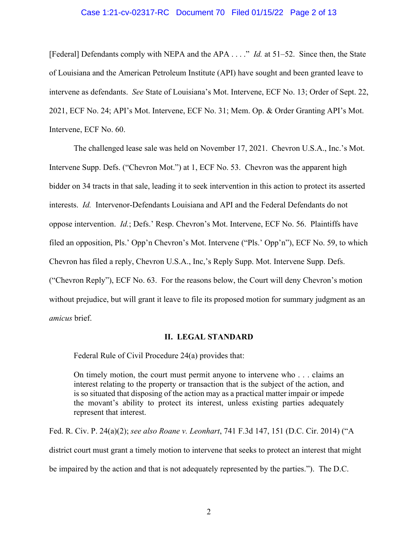# Case 1:21-cv-02317-RC Document 70 Filed 01/15/22 Page 2 of 13

[Federal] Defendants comply with NEPA and the APA . . . ." *Id.* at 51–52. Since then, the State of Louisiana and the American Petroleum Institute (API) have sought and been granted leave to intervene as defendants. *See* State of Louisiana's Mot. Intervene, ECF No. 13; Order of Sept. 22, 2021, ECF No. 24; API's Mot. Intervene, ECF No. 31; Mem. Op. & Order Granting API's Mot. Intervene, ECF No. 60.

The challenged lease sale was held on November 17, 2021. Chevron U.S.A., Inc.'s Mot. Intervene Supp. Defs. ("Chevron Mot.") at 1, ECF No. 53. Chevron was the apparent high bidder on 34 tracts in that sale, leading it to seek intervention in this action to protect its asserted interests. *Id.* Intervenor-Defendants Louisiana and API and the Federal Defendants do not oppose intervention. *Id.*; Defs.' Resp. Chevron's Mot. Intervene, ECF No. 56. Plaintiffs have filed an opposition, Pls.' Opp'n Chevron's Mot. Intervene ("Pls.' Opp'n"), ECF No. 59, to which Chevron has filed a reply, Chevron U.S.A., Inc,'s Reply Supp. Mot. Intervene Supp. Defs. ("Chevron Reply"), ECF No. 63. For the reasons below, the Court will deny Chevron's motion without prejudice, but will grant it leave to file its proposed motion for summary judgment as an *amicus* brief.

#### **II. LEGAL STANDARD**

Federal Rule of Civil Procedure 24(a) provides that:

On timely motion, the court must permit anyone to intervene who . . . claims an interest relating to the property or transaction that is the subject of the action, and is so situated that disposing of the action may as a practical matter impair or impede the movant's ability to protect its interest, unless existing parties adequately represent that interest.

Fed. R. Civ. P. 24(a)(2); *see also Roane v. Leonhart*, 741 F.3d 147, 151 (D.C. Cir. 2014) ("A district court must grant a timely motion to intervene that seeks to protect an interest that might be impaired by the action and that is not adequately represented by the parties."). The D.C.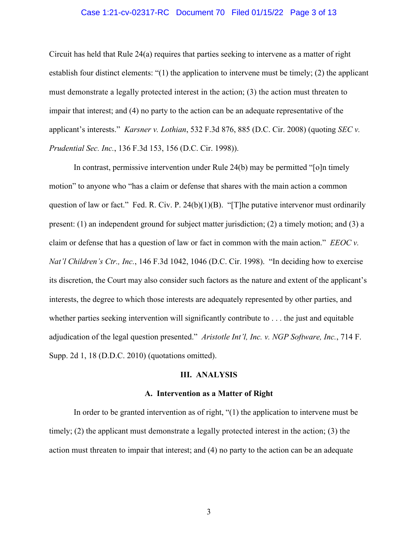# Case 1:21-cv-02317-RC Document 70 Filed 01/15/22 Page 3 of 13

Circuit has held that Rule 24(a) requires that parties seeking to intervene as a matter of right establish four distinct elements: "(1) the application to intervene must be timely; (2) the applicant must demonstrate a legally protected interest in the action; (3) the action must threaten to impair that interest; and (4) no party to the action can be an adequate representative of the applicant's interests." *Karsner v. Lothian*, 532 F.3d 876, 885 (D.C. Cir. 2008) (quoting *SEC v. Prudential Sec. Inc.*, 136 F.3d 153, 156 (D.C. Cir. 1998)).

In contrast, permissive intervention under Rule 24(b) may be permitted "[o]n timely motion" to anyone who "has a claim or defense that shares with the main action a common question of law or fact." Fed. R. Civ. P. 24(b)(1)(B). "[T]he putative intervenor must ordinarily present: (1) an independent ground for subject matter jurisdiction; (2) a timely motion; and (3) a claim or defense that has a question of law or fact in common with the main action." *EEOC v. Nat'l Children's Ctr., Inc.*, 146 F.3d 1042, 1046 (D.C. Cir. 1998). "In deciding how to exercise its discretion, the Court may also consider such factors as the nature and extent of the applicant's interests, the degree to which those interests are adequately represented by other parties, and whether parties seeking intervention will significantly contribute to . . . the just and equitable adjudication of the legal question presented." *Aristotle Int'l, Inc. v. NGP Software, Inc.*, 714 F. Supp. 2d 1, 18 (D.D.C. 2010) (quotations omitted).

# **III. ANALYSIS**

#### **A. Intervention as a Matter of Right**

In order to be granted intervention as of right, "(1) the application to intervene must be timely; (2) the applicant must demonstrate a legally protected interest in the action; (3) the action must threaten to impair that interest; and (4) no party to the action can be an adequate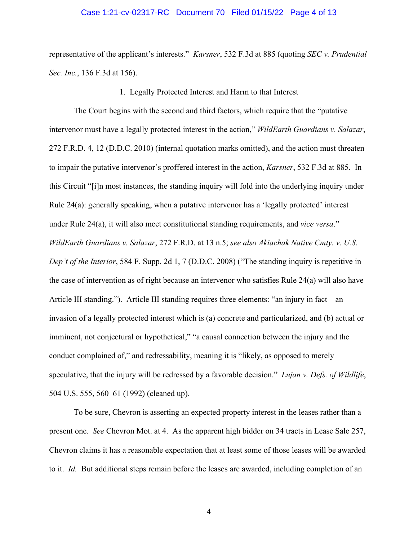# Case 1:21-cv-02317-RC Document 70 Filed 01/15/22 Page 4 of 13

representative of the applicant's interests." *Karsner*, 532 F.3d at 885 (quoting *SEC v. Prudential Sec. Inc.*, 136 F.3d at 156).

1. Legally Protected Interest and Harm to that Interest

The Court begins with the second and third factors, which require that the "putative intervenor must have a legally protected interest in the action," *WildEarth Guardians v. Salazar*, 272 F.R.D. 4, 12 (D.D.C. 2010) (internal quotation marks omitted), and the action must threaten to impair the putative intervenor's proffered interest in the action, *Karsner*, 532 F.3d at 885. In this Circuit "[i]n most instances, the standing inquiry will fold into the underlying inquiry under Rule 24(a): generally speaking, when a putative intervenor has a 'legally protected' interest under Rule 24(a), it will also meet constitutional standing requirements, and *vice versa*." *WildEarth Guardians v. Salazar*, 272 F.R.D. at 13 n.5; *see also Akiachak Native Cmty. v. U.S. Dep't of the Interior*, 584 F. Supp. 2d 1, 7 (D.D.C. 2008) ("The standing inquiry is repetitive in the case of intervention as of right because an intervenor who satisfies Rule 24(a) will also have Article III standing."). Article III standing requires three elements: "an injury in fact—an invasion of a legally protected interest which is (a) concrete and particularized, and (b) actual or imminent, not conjectural or hypothetical," "a causal connection between the injury and the conduct complained of," and redressability, meaning it is "likely, as opposed to merely speculative, that the injury will be redressed by a favorable decision." *Lujan v. Defs. of Wildlife*, 504 U.S. 555, 560–61 (1992) (cleaned up).

To be sure, Chevron is asserting an expected property interest in the leases rather than a present one. *See* Chevron Mot. at 4. As the apparent high bidder on 34 tracts in Lease Sale 257, Chevron claims it has a reasonable expectation that at least some of those leases will be awarded to it. *Id.* But additional steps remain before the leases are awarded, including completion of an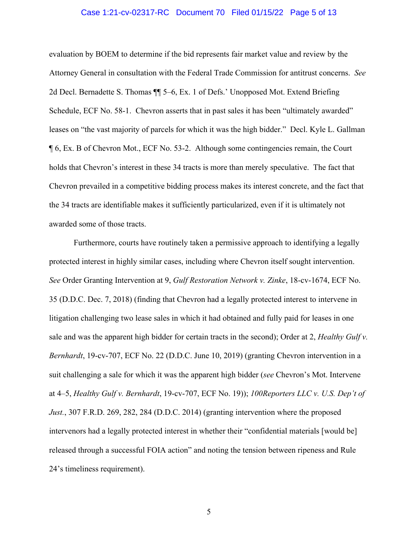# Case 1:21-cv-02317-RC Document 70 Filed 01/15/22 Page 5 of 13

evaluation by BOEM to determine if the bid represents fair market value and review by the Attorney General in consultation with the Federal Trade Commission for antitrust concerns. *See* 2d Decl. Bernadette S. Thomas ¶¶ 5–6, Ex. 1 of Defs.' Unopposed Mot. Extend Briefing Schedule, ECF No. 58-1. Chevron asserts that in past sales it has been "ultimately awarded" leases on "the vast majority of parcels for which it was the high bidder." Decl. Kyle L. Gallman ¶ 6, Ex. B of Chevron Mot., ECF No. 53-2. Although some contingencies remain, the Court holds that Chevron's interest in these 34 tracts is more than merely speculative. The fact that Chevron prevailed in a competitive bidding process makes its interest concrete, and the fact that the 34 tracts are identifiable makes it sufficiently particularized, even if it is ultimately not awarded some of those tracts.

Furthermore, courts have routinely taken a permissive approach to identifying a legally protected interest in highly similar cases, including where Chevron itself sought intervention. *See* Order Granting Intervention at 9, *Gulf Restoration Network v. Zinke*, 18-cv-1674, ECF No. 35 (D.D.C. Dec. 7, 2018) (finding that Chevron had a legally protected interest to intervene in litigation challenging two lease sales in which it had obtained and fully paid for leases in one sale and was the apparent high bidder for certain tracts in the second); Order at 2, *Healthy Gulf v. Bernhardt*, 19-cv-707, ECF No. 22 (D.D.C. June 10, 2019) (granting Chevron intervention in a suit challenging a sale for which it was the apparent high bidder (*see* Chevron's Mot. Intervene at 4–5, *Healthy Gulf v. Bernhardt*, 19-cv-707, ECF No. 19)); *100Reporters LLC v. U.S. Dep't of Just.*, 307 F.R.D. 269, 282, 284 (D.D.C. 2014) (granting intervention where the proposed intervenors had a legally protected interest in whether their "confidential materials [would be] released through a successful FOIA action" and noting the tension between ripeness and Rule 24's timeliness requirement).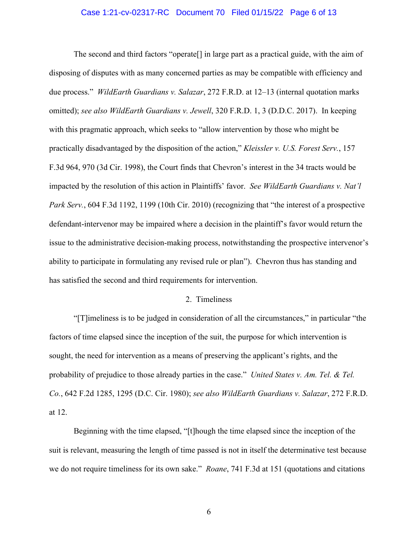# Case 1:21-cv-02317-RC Document 70 Filed 01/15/22 Page 6 of 13

The second and third factors "operate[] in large part as a practical guide, with the aim of disposing of disputes with as many concerned parties as may be compatible with efficiency and due process." *WildEarth Guardians v. Salazar*, 272 F.R.D. at 12–13 (internal quotation marks omitted); *see also WildEarth Guardians v. Jewell*, 320 F.R.D. 1, 3 (D.D.C. 2017). In keeping with this pragmatic approach, which seeks to "allow intervention by those who might be practically disadvantaged by the disposition of the action," *Kleissler v. U.S. Forest Serv.*, 157 F.3d 964, 970 (3d Cir. 1998), the Court finds that Chevron's interest in the 34 tracts would be impacted by the resolution of this action in Plaintiffs' favor. *See WildEarth Guardians v. Nat'l Park Serv.*, 604 F.3d 1192, 1199 (10th Cir. 2010) (recognizing that "the interest of a prospective defendant-intervenor may be impaired where a decision in the plaintiff's favor would return the issue to the administrative decision-making process, notwithstanding the prospective intervenor's ability to participate in formulating any revised rule or plan"). Chevron thus has standing and has satisfied the second and third requirements for intervention.

#### 2. Timeliness

"[T]imeliness is to be judged in consideration of all the circumstances," in particular "the factors of time elapsed since the inception of the suit, the purpose for which intervention is sought, the need for intervention as a means of preserving the applicant's rights, and the probability of prejudice to those already parties in the case." *United States v. Am. Tel. & Tel. Co.*, 642 F.2d 1285, 1295 (D.C. Cir. 1980); *see also WildEarth Guardians v. Salazar*, 272 F.R.D. at 12.

Beginning with the time elapsed, "[t]hough the time elapsed since the inception of the suit is relevant, measuring the length of time passed is not in itself the determinative test because we do not require timeliness for its own sake." *Roane*, 741 F.3d at 151 (quotations and citations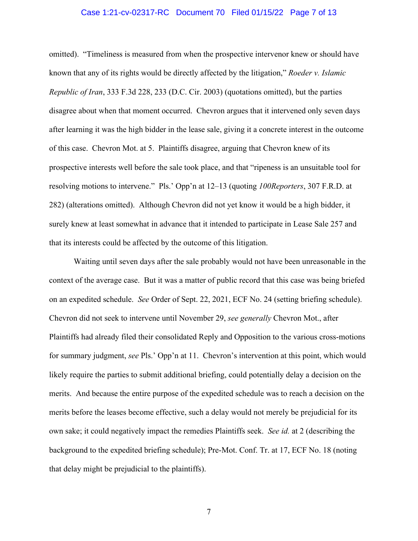# Case 1:21-cv-02317-RC Document 70 Filed 01/15/22 Page 7 of 13

omitted). "Timeliness is measured from when the prospective intervenor knew or should have known that any of its rights would be directly affected by the litigation," *Roeder v. Islamic Republic of Iran*, 333 F.3d 228, 233 (D.C. Cir. 2003) (quotations omitted), but the parties disagree about when that moment occurred. Chevron argues that it intervened only seven days after learning it was the high bidder in the lease sale, giving it a concrete interest in the outcome of this case. Chevron Mot. at 5. Plaintiffs disagree, arguing that Chevron knew of its prospective interests well before the sale took place, and that "ripeness is an unsuitable tool for resolving motions to intervene." Pls.' Opp'n at 12–13 (quoting *100Reporters*, 307 F.R.D. at 282) (alterations omitted). Although Chevron did not yet know it would be a high bidder, it surely knew at least somewhat in advance that it intended to participate in Lease Sale 257 and that its interests could be affected by the outcome of this litigation.

Waiting until seven days after the sale probably would not have been unreasonable in the context of the average case. But it was a matter of public record that this case was being briefed on an expedited schedule. *See* Order of Sept. 22, 2021, ECF No. 24 (setting briefing schedule). Chevron did not seek to intervene until November 29, *see generally* Chevron Mot., after Plaintiffs had already filed their consolidated Reply and Opposition to the various cross-motions for summary judgment, *see* Pls.' Opp'n at 11. Chevron's intervention at this point, which would likely require the parties to submit additional briefing, could potentially delay a decision on the merits. And because the entire purpose of the expedited schedule was to reach a decision on the merits before the leases become effective, such a delay would not merely be prejudicial for its own sake; it could negatively impact the remedies Plaintiffs seek. *See id.* at 2 (describing the background to the expedited briefing schedule); Pre-Mot. Conf. Tr. at 17, ECF No. 18 (noting that delay might be prejudicial to the plaintiffs).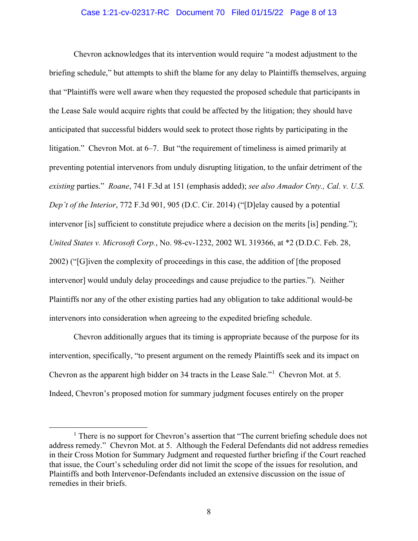# Case 1:21-cv-02317-RC Document 70 Filed 01/15/22 Page 8 of 13

Chevron acknowledges that its intervention would require "a modest adjustment to the briefing schedule," but attempts to shift the blame for any delay to Plaintiffs themselves, arguing that "Plaintiffs were well aware when they requested the proposed schedule that participants in the Lease Sale would acquire rights that could be affected by the litigation; they should have anticipated that successful bidders would seek to protect those rights by participating in the litigation." Chevron Mot. at 6–7. But "the requirement of timeliness is aimed primarily at preventing potential intervenors from unduly disrupting litigation, to the unfair detriment of the *existing* parties." *Roane*, 741 F.3d at 151 (emphasis added); *see also Amador Cnty., Cal. v. U.S. Dep't of the Interior*, 772 F.3d 901, 905 (D.C. Cir. 2014) ("[D]elay caused by a potential intervenor [is] sufficient to constitute prejudice where a decision on the merits [is] pending."); *United States v. Microsoft Corp.*, No. 98-cv-1232, 2002 WL 319366, at \*2 (D.D.C. Feb. 28, 2002) ("[G]iven the complexity of proceedings in this case, the addition of [the proposed intervenor] would unduly delay proceedings and cause prejudice to the parties."). Neither Plaintiffs nor any of the other existing parties had any obligation to take additional would-be intervenors into consideration when agreeing to the expedited briefing schedule.

Chevron additionally argues that its timing is appropriate because of the purpose for its intervention, specifically, "to present argument on the remedy Plaintiffs seek and its impact on Chevron as the apparent high bidder on 34 tracts in the Lease Sale."<sup>1</sup> Chevron Mot. at 5. Indeed, Chevron's proposed motion for summary judgment focuses entirely on the proper

<sup>&</sup>lt;sup>1</sup> There is no support for Chevron's assertion that "The current briefing schedule does not address remedy." Chevron Mot. at 5.Although the Federal Defendants did not address remedies in their Cross Motion for Summary Judgment and requested further briefing if the Court reached that issue, the Court's scheduling order did not limit the scope of the issues for resolution, and Plaintiffs and both Intervenor-Defendants included an extensive discussion on the issue of remedies in their briefs.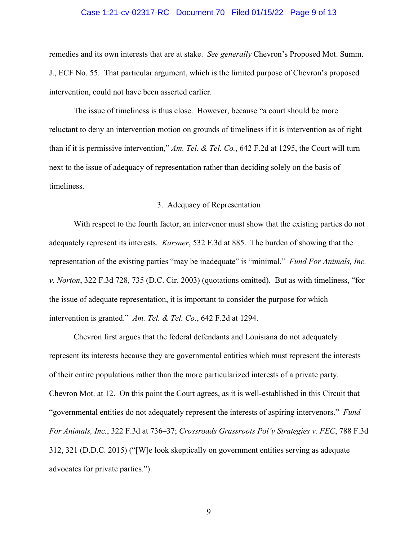# Case 1:21-cv-02317-RC Document 70 Filed 01/15/22 Page 9 of 13

remedies and its own interests that are at stake. *See generally* Chevron's Proposed Mot. Summ. J., ECF No. 55. That particular argument, which is the limited purpose of Chevron's proposed intervention, could not have been asserted earlier.

The issue of timeliness is thus close. However, because "a court should be more reluctant to deny an intervention motion on grounds of timeliness if it is intervention as of right than if it is permissive intervention," *Am. Tel. & Tel. Co.*, 642 F.2d at 1295, the Court will turn next to the issue of adequacy of representation rather than deciding solely on the basis of timeliness.

### 3. Adequacy of Representation

With respect to the fourth factor, an intervenor must show that the existing parties do not adequately represent its interests. *Karsner*, 532 F.3d at 885. The burden of showing that the representation of the existing parties "may be inadequate" is "minimal." *Fund For Animals, Inc. v. Norton*, 322 F.3d 728, 735 (D.C. Cir. 2003) (quotations omitted). But as with timeliness, "for the issue of adequate representation, it is important to consider the purpose for which intervention is granted." *Am. Tel. & Tel. Co.*, 642 F.2d at 1294.

Chevron first argues that the federal defendants and Louisiana do not adequately represent its interests because they are governmental entities which must represent the interests of their entire populations rather than the more particularized interests of a private party. Chevron Mot. at 12. On this point the Court agrees, as it is well-established in this Circuit that "governmental entities do not adequately represent the interests of aspiring intervenors." *Fund For Animals, Inc.*, 322 F.3d at 736–37; *Crossroads Grassroots Pol'y Strategies v. FEC*, 788 F.3d 312, 321 (D.D.C. 2015) ("[W]e look skeptically on government entities serving as adequate advocates for private parties.").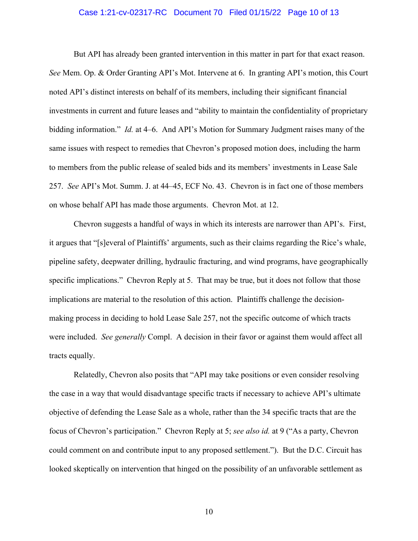# Case 1:21-cv-02317-RC Document 70 Filed 01/15/22 Page 10 of 13

But API has already been granted intervention in this matter in part for that exact reason. *See* Mem. Op. & Order Granting API's Mot. Intervene at 6. In granting API's motion, this Court noted API's distinct interests on behalf of its members, including their significant financial investments in current and future leases and "ability to maintain the confidentiality of proprietary bidding information." *Id.* at 4–6. And API's Motion for Summary Judgment raises many of the same issues with respect to remedies that Chevron's proposed motion does, including the harm to members from the public release of sealed bids and its members' investments in Lease Sale 257. *See* API's Mot. Summ. J. at 44–45, ECF No. 43. Chevron is in fact one of those members on whose behalf API has made those arguments. Chevron Mot. at 12.

Chevron suggests a handful of ways in which its interests are narrower than API's. First, it argues that "[s]everal of Plaintiffs' arguments, such as their claims regarding the Rice's whale, pipeline safety, deepwater drilling, hydraulic fracturing, and wind programs, have geographically specific implications." Chevron Reply at 5. That may be true, but it does not follow that those implications are material to the resolution of this action. Plaintiffs challenge the decisionmaking process in deciding to hold Lease Sale 257, not the specific outcome of which tracts were included. *See generally* Compl. A decision in their favor or against them would affect all tracts equally.

Relatedly, Chevron also posits that "API may take positions or even consider resolving the case in a way that would disadvantage specific tracts if necessary to achieve API's ultimate objective of defending the Lease Sale as a whole, rather than the 34 specific tracts that are the focus of Chevron's participation." Chevron Reply at 5; *see also id.* at 9 ("As a party, Chevron could comment on and contribute input to any proposed settlement."). But the D.C. Circuit has looked skeptically on intervention that hinged on the possibility of an unfavorable settlement as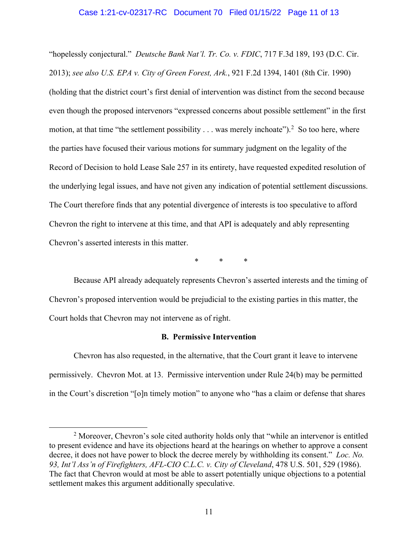# Case 1:21-cv-02317-RC Document 70 Filed 01/15/22 Page 11 of 13

"hopelessly conjectural." *Deutsche Bank Nat'l. Tr. Co. v. FDIC*, 717 F.3d 189, 193 (D.C. Cir. 2013); *see also U.S. EPA v. City of Green Forest, Ark.*, 921 F.2d 1394, 1401 (8th Cir. 1990) (holding that the district court's first denial of intervention was distinct from the second because even though the proposed intervenors "expressed concerns about possible settlement" in the first motion, at that time "the settlement possibility  $\dots$  was merely inchoate").<sup>2</sup> So too here, where the parties have focused their various motions for summary judgment on the legality of the Record of Decision to hold Lease Sale 257 in its entirety, have requested expedited resolution of the underlying legal issues, and have not given any indication of potential settlement discussions. The Court therefore finds that any potential divergence of interests is too speculative to afford Chevron the right to intervene at this time, and that API is adequately and ably representing Chevron's asserted interests in this matter.

\* \* \*

Because API already adequately represents Chevron's asserted interests and the timing of Chevron's proposed intervention would be prejudicial to the existing parties in this matter, the Court holds that Chevron may not intervene as of right.

# **B. Permissive Intervention**

Chevron has also requested, in the alternative, that the Court grant it leave to intervene permissively. Chevron Mot. at 13. Permissive intervention under Rule 24(b) may be permitted in the Court's discretion "[o]n timely motion" to anyone who "has a claim or defense that shares

<sup>&</sup>lt;sup>2</sup> Moreover, Chevron's sole cited authority holds only that "while an intervenor is entitled to present evidence and have its objections heard at the hearings on whether to approve a consent decree, it does not have power to block the decree merely by withholding its consent." *Loc. No. 93, Int'l Ass'n of Firefighters, AFL-CIO C.L.C. v. City of Cleveland*, 478 U.S. 501, 529 (1986). The fact that Chevron would at most be able to assert potentially unique objections to a potential settlement makes this argument additionally speculative.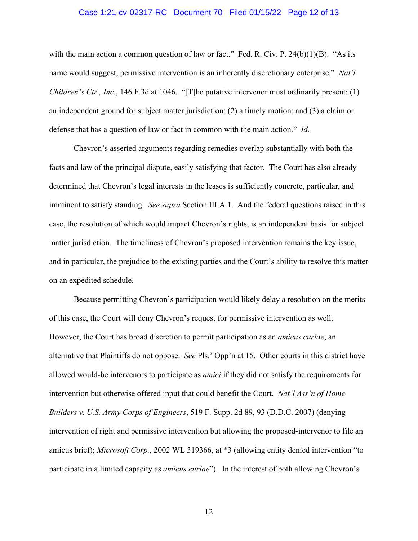# Case 1:21-cv-02317-RC Document 70 Filed 01/15/22 Page 12 of 13

with the main action a common question of law or fact." Fed. R. Civ. P.  $24(b)(1)(B)$ . "As its name would suggest, permissive intervention is an inherently discretionary enterprise." *Nat'l Children's Ctr., Inc.*, 146 F.3d at 1046. "[T]he putative intervenor must ordinarily present: (1) an independent ground for subject matter jurisdiction; (2) a timely motion; and (3) a claim or defense that has a question of law or fact in common with the main action." *Id.*

Chevron's asserted arguments regarding remedies overlap substantially with both the facts and law of the principal dispute, easily satisfying that factor. The Court has also already determined that Chevron's legal interests in the leases is sufficiently concrete, particular, and imminent to satisfy standing. *See supra* Section III.A.1. And the federal questions raised in this case, the resolution of which would impact Chevron's rights, is an independent basis for subject matter jurisdiction. The timeliness of Chevron's proposed intervention remains the key issue, and in particular, the prejudice to the existing parties and the Court's ability to resolve this matter on an expedited schedule.

Because permitting Chevron's participation would likely delay a resolution on the merits of this case, the Court will deny Chevron's request for permissive intervention as well. However, the Court has broad discretion to permit participation as an *amicus curiae*, an alternative that Plaintiffs do not oppose. *See* Pls.' Opp'n at 15. Other courts in this district have allowed would-be intervenors to participate as *amici* if they did not satisfy the requirements for intervention but otherwise offered input that could benefit the Court. *Nat'l Ass'n of Home Builders v. U.S. Army Corps of Engineers*, 519 F. Supp. 2d 89, 93 (D.D.C. 2007) (denying intervention of right and permissive intervention but allowing the proposed-intervenor to file an amicus brief); *Microsoft Corp.*, 2002 WL 319366, at \*3 (allowing entity denied intervention "to participate in a limited capacity as *amicus curiae*"). In the interest of both allowing Chevron's